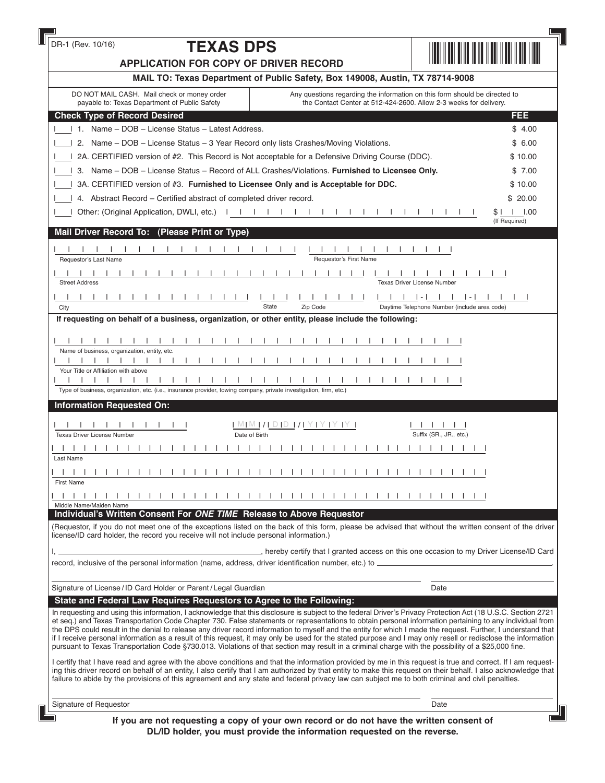| DR-1 (Rev. 10/16)<br><b>TEXAS DPS</b><br><b>APPLICATION FOR COPY OF DRIVER RECORD</b>                                                                                                                                                                                                                                                                                                                                                                                                                                                                                                                                                                                                                                                                                                                               |                                              |
|---------------------------------------------------------------------------------------------------------------------------------------------------------------------------------------------------------------------------------------------------------------------------------------------------------------------------------------------------------------------------------------------------------------------------------------------------------------------------------------------------------------------------------------------------------------------------------------------------------------------------------------------------------------------------------------------------------------------------------------------------------------------------------------------------------------------|----------------------------------------------|
| MAIL TO: Texas Department of Public Safety, Box 149008, Austin, TX 78714-9008                                                                                                                                                                                                                                                                                                                                                                                                                                                                                                                                                                                                                                                                                                                                       |                                              |
| DO NOT MAIL CASH. Mail check or money order<br>Any questions regarding the information on this form should be directed to                                                                                                                                                                                                                                                                                                                                                                                                                                                                                                                                                                                                                                                                                           |                                              |
| payable to: Texas Department of Public Safety<br>the Contact Center at 512-424-2600. Allow 2-3 weeks for delivery.                                                                                                                                                                                                                                                                                                                                                                                                                                                                                                                                                                                                                                                                                                  |                                              |
| <b>Check Type of Record Desired</b>                                                                                                                                                                                                                                                                                                                                                                                                                                                                                                                                                                                                                                                                                                                                                                                 | FEE                                          |
| 1 1. Name – DOB – License Status – Latest Address.                                                                                                                                                                                                                                                                                                                                                                                                                                                                                                                                                                                                                                                                                                                                                                  | \$4.00                                       |
| 1 2. Name - DOB - License Status - 3 Year Record only lists Crashes/Moving Violations.                                                                                                                                                                                                                                                                                                                                                                                                                                                                                                                                                                                                                                                                                                                              | \$6.00                                       |
| 2A. CERTIFIED version of #2. This Record is Not acceptable for a Defensive Driving Course (DDC).                                                                                                                                                                                                                                                                                                                                                                                                                                                                                                                                                                                                                                                                                                                    | \$10.00                                      |
| 3. Name - DOB - License Status - Record of ALL Crashes/Violations. Furnished to Licensee Only.                                                                                                                                                                                                                                                                                                                                                                                                                                                                                                                                                                                                                                                                                                                      | \$7.00                                       |
| 3A. CERTIFIED version of #3. Furnished to Licensee Only and is Acceptable for DDC.                                                                                                                                                                                                                                                                                                                                                                                                                                                                                                                                                                                                                                                                                                                                  | \$10.00                                      |
| 1.4. Abstract Record – Certified abstract of completed driver record.                                                                                                                                                                                                                                                                                                                                                                                                                                                                                                                                                                                                                                                                                                                                               | \$20.00                                      |
| Other: (Original Application, DWLI, etc.)                                                                                                                                                                                                                                                                                                                                                                                                                                                                                                                                                                                                                                                                                                                                                                           | $\vert$ 1.00<br>SI.                          |
| Mail Driver Record To: (Please Print or Type)                                                                                                                                                                                                                                                                                                                                                                                                                                                                                                                                                                                                                                                                                                                                                                       | (If Required)                                |
|                                                                                                                                                                                                                                                                                                                                                                                                                                                                                                                                                                                                                                                                                                                                                                                                                     |                                              |
| Requestor's First Name<br>Requestor's Last Name                                                                                                                                                                                                                                                                                                                                                                                                                                                                                                                                                                                                                                                                                                                                                                     |                                              |
|                                                                                                                                                                                                                                                                                                                                                                                                                                                                                                                                                                                                                                                                                                                                                                                                                     |                                              |
| <b>Street Address</b>                                                                                                                                                                                                                                                                                                                                                                                                                                                                                                                                                                                                                                                                                                                                                                                               | <b>Texas Driver License Number</b>           |
|                                                                                                                                                                                                                                                                                                                                                                                                                                                                                                                                                                                                                                                                                                                                                                                                                     |                                              |
| State<br>Zip Code<br>City                                                                                                                                                                                                                                                                                                                                                                                                                                                                                                                                                                                                                                                                                                                                                                                           | Daytime Telephone Number (include area code) |
| If requesting on behalf of a business, organization, or other entity, please include the following:                                                                                                                                                                                                                                                                                                                                                                                                                                                                                                                                                                                                                                                                                                                 |                                              |
|                                                                                                                                                                                                                                                                                                                                                                                                                                                                                                                                                                                                                                                                                                                                                                                                                     |                                              |
| Name of business, organization, entity, etc.                                                                                                                                                                                                                                                                                                                                                                                                                                                                                                                                                                                                                                                                                                                                                                        |                                              |
| $\Box$<br>$\Box$<br>$\Box$<br>$\perp$                                                                                                                                                                                                                                                                                                                                                                                                                                                                                                                                                                                                                                                                                                                                                                               |                                              |
| Your Title or Affiliation with above                                                                                                                                                                                                                                                                                                                                                                                                                                                                                                                                                                                                                                                                                                                                                                                |                                              |
| $\blacksquare$<br>Type of business, organization, etc. (i.e., insurance provider, towing company, private investigation, firm, etc.)                                                                                                                                                                                                                                                                                                                                                                                                                                                                                                                                                                                                                                                                                |                                              |
| <b>Information Requested On:</b>                                                                                                                                                                                                                                                                                                                                                                                                                                                                                                                                                                                                                                                                                                                                                                                    |                                              |
|                                                                                                                                                                                                                                                                                                                                                                                                                                                                                                                                                                                                                                                                                                                                                                                                                     |                                              |
| MIMIZI DID 171 Y 1 Y 1 Y 1 Y 1                                                                                                                                                                                                                                                                                                                                                                                                                                                                                                                                                                                                                                                                                                                                                                                      |                                              |
| Date of Birth<br>Texas Driver License Number                                                                                                                                                                                                                                                                                                                                                                                                                                                                                                                                                                                                                                                                                                                                                                        | Suffix (SR., JR., etc.)                      |
| Last Name                                                                                                                                                                                                                                                                                                                                                                                                                                                                                                                                                                                                                                                                                                                                                                                                           |                                              |
|                                                                                                                                                                                                                                                                                                                                                                                                                                                                                                                                                                                                                                                                                                                                                                                                                     |                                              |
| <b>First Name</b>                                                                                                                                                                                                                                                                                                                                                                                                                                                                                                                                                                                                                                                                                                                                                                                                   |                                              |
| $\Box$<br>$\mathbf{I}$                                                                                                                                                                                                                                                                                                                                                                                                                                                                                                                                                                                                                                                                                                                                                                                              |                                              |
| Middle Name/Maiden Name<br>Individual's Written Consent For ONE TIME Release to Above Requestor                                                                                                                                                                                                                                                                                                                                                                                                                                                                                                                                                                                                                                                                                                                     |                                              |
| (Requestor, if you do not meet one of the exceptions listed on the back of this form, please be advised that without the written consent of the driver                                                                                                                                                                                                                                                                                                                                                                                                                                                                                                                                                                                                                                                              |                                              |
| license/ID card holder, the record you receive will not include personal information.)                                                                                                                                                                                                                                                                                                                                                                                                                                                                                                                                                                                                                                                                                                                              |                                              |
| hereby certify that I granted access on this one occasion to my Driver License/ID Card (not can be not controlled access on this one occasion to my Driver License/ID Card                                                                                                                                                                                                                                                                                                                                                                                                                                                                                                                                                                                                                                          |                                              |
|                                                                                                                                                                                                                                                                                                                                                                                                                                                                                                                                                                                                                                                                                                                                                                                                                     |                                              |
|                                                                                                                                                                                                                                                                                                                                                                                                                                                                                                                                                                                                                                                                                                                                                                                                                     |                                              |
| Signature of License / ID Card Holder or Parent / Legal Guardian                                                                                                                                                                                                                                                                                                                                                                                                                                                                                                                                                                                                                                                                                                                                                    | Date                                         |
| State and Federal Law Requires Requestors to Agree to the Following:                                                                                                                                                                                                                                                                                                                                                                                                                                                                                                                                                                                                                                                                                                                                                |                                              |
| In requesting and using this information, I acknowledge that this disclosure is subject to the federal Driver's Privacy Protection Act (18 U.S.C. Section 2721<br>et seq.) and Texas Transportation Code Chapter 730. False statements or representations to obtain personal information pertaining to any individual from<br>the DPS could result in the denial to release any driver record information to myself and the entity for which I made the request. Further, I understand that<br>if I receive personal information as a result of this request, it may only be used for the stated purpose and I may only resell or redisclose the information<br>pursuant to Texas Transportation Code §730.013. Violations of that section may result in a criminal charge with the possibility of a \$25,000 fine. |                                              |
| I certify that I have read and agree with the above conditions and that the information provided by me in this request is true and correct. If I am request-<br>ing this driver record on behalf of an entity, I also certify that I am authorized by that entity to make this request on their behalf. I also acknowledge that<br>failure to abide by the provisions of this agreement and any state and federal privacy law can subject me to both criminal and civil penalties.                                                                                                                                                                                                                                                                                                                                  |                                              |
| Signature of Requestor                                                                                                                                                                                                                                                                                                                                                                                                                                                                                                                                                                                                                                                                                                                                                                                              | Date                                         |
|                                                                                                                                                                                                                                                                                                                                                                                                                                                                                                                                                                                                                                                                                                                                                                                                                     |                                              |

1 |

**DL/ID holder, you must provide the information requested on the reverse.**